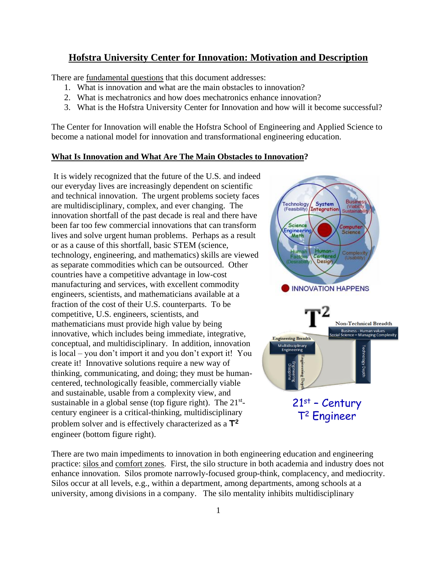## **Hofstra University Center for Innovation: Motivation and Description**

There are <u>fundamental questions</u> that this document addresses:

- 1. What is innovation and what are the main obstacles to innovation?
- 2. What is mechatronics and how does mechatronics enhance innovation?
- 3. What is the Hofstra University Center for Innovation and how will it become successful?

The Center for Innovation will enable the Hofstra School of Engineering and Applied Science to become a national model for innovation and transformational engineering education.

## **What Is Innovation and What Are The Main Obstacles to Innovation?**

It is widely recognized that the future of the U.S. and indeed our everyday lives are increasingly dependent on scientific and technical innovation. The urgent problems society faces are multidisciplinary, complex, and ever changing. The innovation shortfall of the past decade is real and there have been far too few commercial innovations that can transform lives and solve urgent human problems. Perhaps as a result or as a cause of this shortfall, basic STEM (science, technology, engineering, and mathematics) skills are viewed as separate commodities which can be outsourced. Other countries have a competitive advantage in low-cost manufacturing and services, with excellent commodity engineers, scientists, and mathematicians available at a fraction of the cost of their U.S. counterparts. To be competitive, U.S. engineers, scientists, and mathematicians must provide high value by being innovative, which includes being immediate, integrative, conceptual, and multidisciplinary. In addition, innovation is local – you don't import it and you don't export it! You create it! Innovative solutions require a new way of thinking, communicating, and doing; they must be humancentered, technologically feasible, commercially viable and sustainable, usable from a complexity view, and sustainable in a global sense (top figure right). The  $21^{st}$ century engineer is a critical-thinking, multidisciplinary problem solver and is effectively characterized as a **T<sup>2</sup>** engineer (bottom figure right).



There are two main impediments to innovation in both engineering education and engineering practice: silos and comfort zones. First, the silo structure in both academia and industry does not enhance innovation. Silos promote narrowly-focused group-think, complacency, and mediocrity. Silos occur at all levels, e.g., within a department, among departments, among schools at a university, among divisions in a company. The silo mentality inhibits multidisciplinary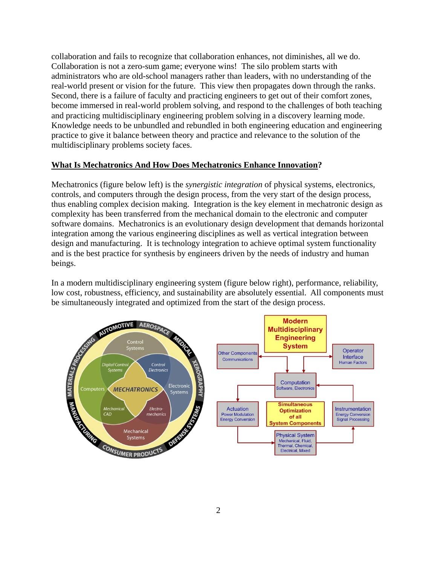collaboration and fails to recognize that collaboration enhances, not diminishes, all we do. Collaboration is not a zero-sum game; everyone wins! The silo problem starts with administrators who are old-school managers rather than leaders, with no understanding of the real-world present or vision for the future. This view then propagates down through the ranks. Second, there is a failure of faculty and practicing engineers to get out of their comfort zones, become immersed in real-world problem solving, and respond to the challenges of both teaching and practicing multidisciplinary engineering problem solving in a discovery learning mode. Knowledge needs to be unbundled and rebundled in both engineering education and engineering practice to give it balance between theory and practice and relevance to the solution of the multidisciplinary problems society faces.

## **What Is Mechatronics And How Does Mechatronics Enhance Innovation?**

Mechatronics (figure below left) is the *synergistic integration* of physical systems, electronics, controls, and computers through the design process, from the very start of the design process, thus enabling complex decision making. Integration is the key element in mechatronic design as complexity has been transferred from the mechanical domain to the electronic and computer software domains. Mechatronics is an evolutionary design development that demands horizontal integration among the various engineering disciplines as well as vertical integration between design and manufacturing. It is technology integration to achieve optimal system functionality and is the best practice for synthesis by engineers driven by the needs of industry and human beings.

In a modern multidisciplinary engineering system (figure below right), performance, reliability, low cost, robustness, efficiency, and sustainability are absolutely essential. All components must be simultaneously integrated and optimized from the start of the design process.

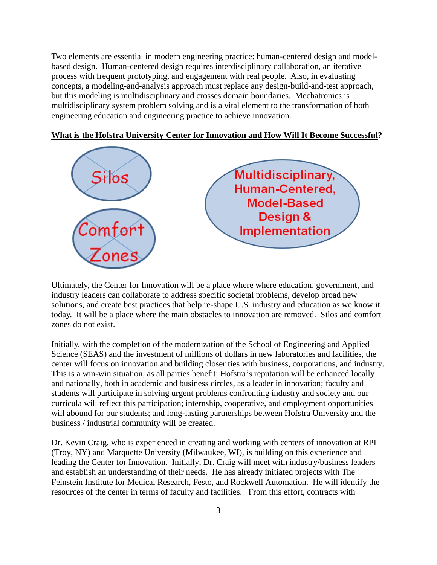Two elements are essential in modern engineering practice: human-centered design and modelbased design. Human-centered design requires interdisciplinary collaboration, an iterative process with frequent prototyping, and engagement with real people. Also, in evaluating concepts, a modeling-and-analysis approach must replace any design-build-and-test approach, but this modeling is multidisciplinary and crosses domain boundaries. Mechatronics is multidisciplinary system problem solving and is a vital element to the transformation of both engineering education and engineering practice to achieve innovation.



## **What is the Hofstra University Center for Innovation and How Will It Become Successful?**

Ultimately, the Center for Innovation will be a place where where education, government, and industry leaders can collaborate to address specific societal problems, develop broad new solutions, and create best practices that help re-shape U.S. industry and education as we know it today. It will be a place where the main obstacles to innovation are removed. Silos and comfort zones do not exist.

Initially, with the completion of the modernization of the School of Engineering and Applied Science (SEAS) and the investment of millions of dollars in new laboratories and facilities, the center will focus on innovation and building closer ties with business, corporations, and industry. This is a win-win situation, as all parties benefit: Hofstra's reputation will be enhanced locally and nationally, both in academic and business circles, as a leader in innovation; faculty and students will participate in solving urgent problems confronting industry and society and our curricula will reflect this participation; internship, cooperative, and employment opportunities will abound for our students; and long-lasting partnerships between Hofstra University and the business / industrial community will be created.

Dr. Kevin Craig, who is experienced in creating and working with centers of innovation at RPI (Troy, NY) and Marquette University (Milwaukee, WI), is building on this experience and leading the Center for Innovation. Initially, Dr. Craig will meet with industry/business leaders and establish an understanding of their needs. He has already initiated projects with The Feinstein Institute for Medical Research, Festo, and Rockwell Automation. He will identify the resources of the center in terms of faculty and facilities. From this effort, contracts with